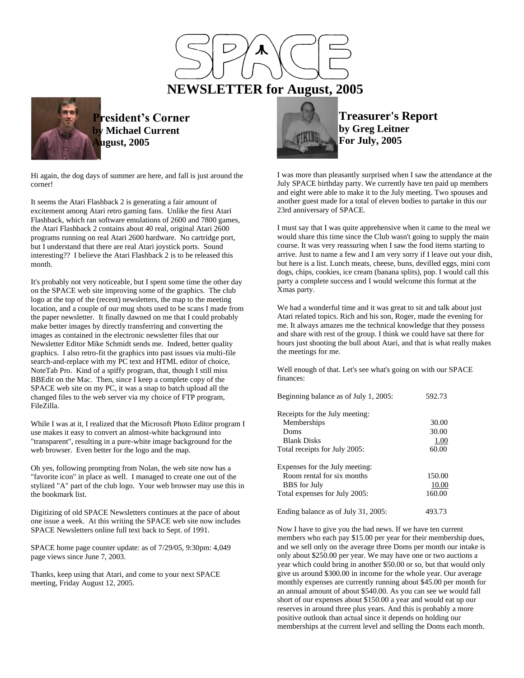



**President's Corner by Michael Current August, 2005**

Hi again, the dog days of summer are here, and fall is just around the corner!

It seems the Atari Flashback 2 is generating a fair amount of excitement among Atari retro gaming fans. Unlike the first Atari Flashback, which ran software emulations of 2600 and 7800 games, the Atari Flashback 2 contains about 40 real, original Atari 2600 programs running on real Atari 2600 hardware. No cartridge port, but I understand that there are real Atari joystick ports. Sound interesting?? I believe the Atari Flashback 2 is to be released this month.

It's probably not very noticeable, but I spent some time the other day on the SPACE web site improving some of the graphics. The club logo at the top of the (recent) newsletters, the map to the meeting location, and a couple of our mug shots used to be scans I made from the paper newsletter. It finally dawned on me that I could probably make better images by directly transferring and converting the images as contained in the electronic newsletter files that our Newsletter Editor Mike Schmidt sends me. Indeed, better quality graphics. I also retro-fit the graphics into past issues via multi-file search-and-replace with my PC text and HTML editor of choice, NoteTab Pro. Kind of a spiffy program, that, though I still miss BBEdit on the Mac. Then, since I keep a complete copy of the SPACE web site on my PC, it was a snap to batch upload all the changed files to the web server via my choice of FTP program, FileZilla.

While I was at it, I realized that the Microsoft Photo Editor program I use makes it easy to convert an almost-white background into "transparent", resulting in a pure-white image background for the web browser. Even better for the logo and the map.

Oh yes, following prompting from Nolan, the web site now has a "favorite icon" in place as well. I managed to create one out of the stylized "A" part of the club logo. Your web browser may use this in the bookmark list.

Digitizing of old SPACE Newsletters continues at the pace of about one issue a week. At this writing the SPACE web site now includes SPACE Newsletters online full text back to Sept. of 1991.

SPACE home page counter update: as of 7/29/05, 9:30pm: 4,049 page views since June 7, 2003.

Thanks, keep using that Atari, and come to your next SPACE meeting, Friday August 12, 2005.



**Treasurer's Report by Greg Leitner For July, 2005**

I was more than pleasantly surprised when I saw the attendance at the July SPACE birthday party. We currently have ten paid up members and eight were able to make it to the July meeting. Two spouses and another guest made for a total of eleven bodies to partake in this our 23rd anniversary of SPACE.

I must say that I was quite apprehensive when it came to the meal we would share this time since the Club wasn't going to supply the main course. It was very reassuring when I saw the food items starting to arrive. Just to name a few and I am very sorry if I leave out your dish, but here is a list. Lunch meats, cheese, buns, devilled eggs, mini corn dogs, chips, cookies, ice cream (banana splits), pop. I would call this party a complete success and I would welcome this format at the Xmas party.

We had a wonderful time and it was great to sit and talk about just Atari related topics. Rich and his son, Roger, made the evening for me. It always amazes me the technical knowledge that they possess and share with rest of the group. I think we could have sat there for hours just shooting the bull about Atari, and that is what really makes the meetings for me.

Well enough of that. Let's see what's going on with our SPACE finances:

| Beginning balance as of July 1, 2005: | 592.73 |
|---------------------------------------|--------|
| Receipts for the July meeting:        |        |
| Memberships                           | 30.00  |
| Doms                                  | 30.00  |
| <b>Blank Disks</b>                    | 1.00   |
| Total receipts for July 2005:         | 60.00  |
| Expenses for the July meeting:        |        |
| Room rental for six months            | 150.00 |
| <b>BBS</b> for July                   | 10.00  |
| Total expenses for July 2005:         | 160.00 |
| Ending balance as of July 31, 2005:   | 493.73 |

Now I have to give you the bad news. If we have ten current members who each pay \$15.00 per year for their membership dues, and we sell only on the average three Doms per month our intake is only about \$250.00 per year. We may have one or two auctions a year which could bring in another \$50.00 or so, but that would only give us around \$300.00 in income for the whole year. Our average monthly expenses are currently running about \$45.00 per month for an annual amount of about \$540.00. As you can see we would fall short of our expenses about \$150.00 a year and would eat up our reserves in around three plus years. And this is probably a more positive outlook than actual since it depends on holding our memberships at the current level and selling the Doms each month.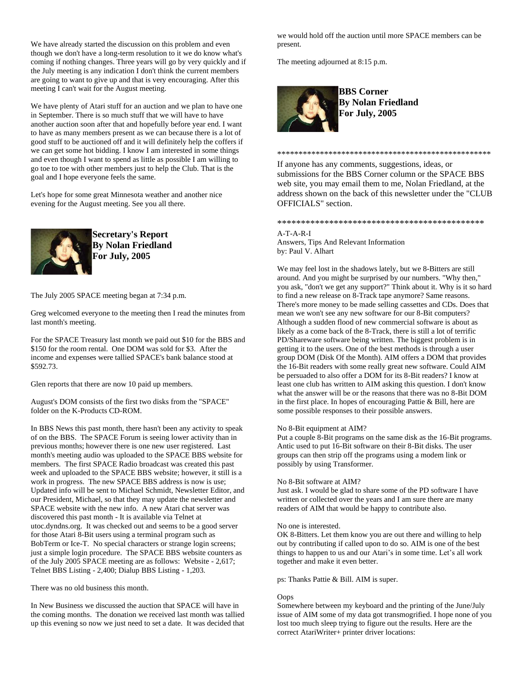We have already started the discussion on this problem and even though we don't have a long-term resolution to it we do know what's coming if nothing changes. Three years will go by very quickly and if the July meeting is any indication I don't think the current members are going to want to give up and that is very encouraging. After this meeting I can't wait for the August meeting.

We have plenty of Atari stuff for an auction and we plan to have one in September. There is so much stuff that we will have to have another auction soon after that and hopefully before year end. I want to have as many members present as we can because there is a lot of good stuff to be auctioned off and it will definitely help the coffers if we can get some hot bidding. I know I am interested in some things and even though I want to spend as little as possible I am willing to go toe to toe with other members just to help the Club. That is the goal and I hope everyone feels the same.

Let's hope for some great Minnesota weather and another nice evening for the August meeting. See you all there.



**Secretary's Report By Nolan Friedland For July, 2005**

The July 2005 SPACE meeting began at 7:34 p.m.

Greg welcomed everyone to the meeting then I read the minutes from last month's meeting.

For the SPACE Treasury last month we paid out \$10 for the BBS and \$150 for the room rental. One DOM was sold for \$3. After the income and expenses were tallied SPACE's bank balance stood at \$592.73.

Glen reports that there are now 10 paid up members.

August's DOM consists of the first two disks from the "SPACE" folder on the K-Products CD-ROM.

In BBS News this past month, there hasn't been any activity to speak of on the BBS. The SPACE Forum is seeing lower activity than in previous months; however there is one new user registered. Last month's meeting audio was uploaded to the SPACE BBS website for members. The first SPACE Radio broadcast was created this past week and uploaded to the SPACE BBS website; however, it still is a work in progress. The new SPACE BBS address is now is use; Updated info will be sent to Michael Schmidt, Newsletter Editor, and our President, Michael, so that they may update the newsletter and SPACE website with the new info. A new Atari chat server was discovered this past month - It is available via Telnet at utoc.dyndns.org. It was checked out and seems to be a good server for those Atari 8-Bit users using a terminal program such as BobTerm or Ice-T. No special characters or strange login screens; just a simple login procedure. The SPACE BBS website counters as of the July 2005 SPACE meeting are as follows: Website - 2,617; Telnet BBS Listing - 2,400; Dialup BBS Listing - 1,203.

There was no old business this month.

In New Business we discussed the auction that SPACE will have in the coming months. The donation we received last month was tallied up this evening so now we just need to set a date. It was decided that we would hold off the auction until more SPACE members can be present.

The meeting adjourned at 8:15 p.m.



**BBS Corner By Nolan Friedland For July, 2005**

\*\*\*\*\*\*\*\*\*\*\*\*\*\*\*\*\*\*\*\*\*\*\*\*\*\*\*\*\*\*\*\*\*\*\*\*\*\*\*\*\*\*\*\*\*\*\*\*\*\*

If anyone has any comments, suggestions, ideas, or submissions for the BBS Corner column or the SPACE BBS web site, you may email them to me, Nolan Friedland, at the address shown on the back of this newsletter under the "CLUB OFFICIALS" section.

\*\*\*\*\*\*\*\*\*\*\*\*\*\*\*\*\*\*\*\*\*\*\*\*\*\*\*\*\*\*\*\*\*\*\*\*\*\*\*\*\*\*\*\*

A-T-A-R-I Answers, Tips And Relevant Information by: Paul V. Alhart

We may feel lost in the shadows lately, but we 8-Bitters are still around. And you might be surprised by our numbers. "Why then," you ask, "don't we get any support?" Think about it. Why is it so hard to find a new release on 8-Track tape anymore? Same reasons. There's more money to be made selling cassettes and CDs. Does that mean we won't see any new software for our 8-Bit computers? Although a sudden flood of new commercial software is about as likely as a come back of the 8-Track, there is still a lot of terrific PD/Shareware software being written. The biggest problem is in getting it to the users. One of the best methods is through a user group DOM (Disk Of the Month). AIM offers a DOM that provides the 16-Bit readers with some really great new software. Could AIM be persuaded to also offer a DOM for its 8-Bit readers? I know at least one club has written to AIM asking this question. I don't know what the answer will be or the reasons that there was no 8-Bit DOM in the first place. In hopes of encouraging Pattie & Bill, here are some possible responses to their possible answers.

## No 8-Bit equipment at AIM?

Put a couple 8-Bit programs on the same disk as the 16-Bit programs. Antic used to put 16-Bit software on their 8-Bit disks. The user groups can then strip off the programs using a modem link or possibly by using Transformer.

## No 8-Bit software at AIM?

Just ask. I would be glad to share some of the PD software I have written or collected over the years and I am sure there are many readers of AIM that would be happy to contribute also.

## No one is interested.

OK 8-Bitters. Let them know you are out there and willing to help out by contributing if called upon to do so. AIM is one of the best things to happen to us and our Atari's in some time. Let's all work together and make it even better.

ps: Thanks Pattie & Bill. AIM is super.

# **Oops**

Somewhere between my keyboard and the printing of the June/July issue of AIM some of my data got transmogrified. I hope none of you lost too much sleep trying to figure out the results. Here are the correct AtariWriter+ printer driver locations: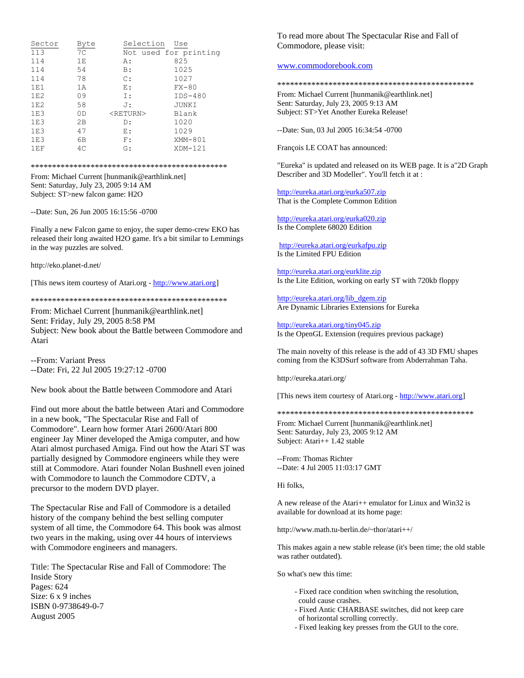| Sector | Byte | Selection         | Use                   |
|--------|------|-------------------|-----------------------|
| 113    | 7C   |                   | Not used for printing |
| 114    | 1E   | A:                | 825                   |
| 114    | 54   | B:                | 1025                  |
| 114    | 78   | $\mathbb{C}$ :    | 1027                  |
| 1E1    | 1A   | E:                | $FX-80$               |
| 1E2    | 09   | I:                | $IDS-480$             |
| 1E2    | 58   | J:                | JUNKI                 |
| 1E3    | 0D   | <return></return> | Blank                 |
| 1E3    | 2B   | D:                | 1020                  |
| 1E3    | 47   | Е:                | 1029                  |
| 1E3    | 6B   | F:                | XMM-801               |
| 1EF    | 4C   | G:                | $XDM-121$             |

#### \*\*\*\*\*\*\*\*\*\*\*\*\*\*\*\*\*\*\*\*\*\*\*\*\*\*\*\*\*\*\*\*\*\*\*\*\*\*\*\*\*\*\*\*\*\*

From: Michael Current [hunmanik@earthlink.net] Sent: Saturday, July 23, 2005 9:14 AM Subject: ST>new falcon game: H2O

--Date: Sun, 26 Jun 2005 16:15:56 -0700

Finally a new Falcon game to enjoy, the super demo-crew EKO has released their long awaited H2O game. It's a bit similar to Lemmings in the way puzzles are solved.

http://eko.planet-d.net/

[This news item courtesy of Atari.org - [http://www.atari.org\]](http://www.atari.org/)

\*\*\*\*\*\*\*\*\*\*\*\*\*\*\*\*\*\*\*\*\*\*\*\*\*\*\*\*\*\*\*\*\*\*\*\*\*\*\*\*\*\*\*\*\*\*

From: Michael Current [hunmanik@earthlink.net] Sent: Friday, July 29, 2005 8:58 PM Subject: New book about the Battle between Commodore and Atari

--From: Variant Press --Date: Fri, 22 Jul 2005 19:27:12 -0700

New book about the Battle between Commodore and Atari

Find out more about the battle between Atari and Commodore in a new book, "The Spectacular Rise and Fall of Commodore". Learn how former Atari 2600/Atari 800 engineer Jay Miner developed the Amiga computer, and how Atari almost purchased Amiga. Find out how the Atari ST was partially designed by Commodore engineers while they were still at Commodore. Atari founder Nolan Bushnell even joined with Commodore to launch the Commodore CDTV, a precursor to the modern DVD player.

The Spectacular Rise and Fall of Commodore is a detailed history of the company behind the best selling computer system of all time, the Commodore 64. This book was almost two years in the making, using over 44 hours of interviews with Commodore engineers and managers.

Title: The Spectacular Rise and Fall of Commodore: The Inside Story Pages: 624 Size: 6 x 9 inches ISBN 0-9738649-0-7 August 2005

To read more about The Spectacular Rise and Fall of Commodore, please visit:

# [www.commodorebook.com](http://www.commodorebook.com/)

\*\*\*\*\*\*\*\*\*\*\*\*\*\*\*\*\*\*\*\*\*\*\*\*\*\*\*\*\*\*\*\*\*\*\*\*\*\*\*\*\*\*\*\*\*\*

From: Michael Current [hunmanik@earthlink.net] Sent: Saturday, July 23, 2005 9:13 AM Subject: ST>Yet Another Eureka Release!

--Date: Sun, 03 Jul 2005 16:34:54 -0700

François LE COAT has announced:

"Eureka" is updated and released on its WEB page. It is a"2D Graph Describer and 3D Modeller". You'll fetch it at :

<http://eureka.atari.org/eurka507.zip> That is the Complete Common Edition

<http://eureka.atari.org/eurka020.zip> Is the Complete 68020 Edition

<http://eureka.atari.org/eurkafpu.zip> Is the Limited FPU Edition

<http://eureka.atari.org/eurklite.zip> Is the Lite Edition, working on early ST with 720kb floppy

[http://eureka.atari.org/lib\\_dgem.zip](http://eureka.atari.org/lib_dgem.zip) Are Dynamic Libraries Extensions for Eureka

<http://eureka.atari.org/tiny045.zip> Is the OpenGL Extension (requires previous package)

The main novelty of this release is the add of 43 3D FMU shapes coming from the K3DSurf software from Abderrahman Taha.

http://eureka.atari.org/

[This news item courtesy of Atari.org - [http://www.atari.org\]](http://www.atari.org/)

\*\*\*\*\*\*\*\*\*\*\*\*\*\*\*\*\*\*\*\*\*\*\*\*\*\*\*\*\*\*\*\*\*\*\*\*\*\*\*\*\*\*\*\*\*\*

From: Michael Current [hunmanik@earthlink.net] Sent: Saturday, July 23, 2005 9:12 AM Subject: Atari++ 1.42 stable

--From: Thomas Richter --Date: 4 Jul 2005 11:03:17 GMT

Hi folks,

A new release of the Atari++ emulator for Linux and Win32 is available for download at its home page:

http://www.math.tu-berlin.de/~thor/atari++/

This makes again a new stable release (it's been time; the old stable was rather outdated).

So what's new this time:

- Fixed race condition when switching the resolution, could cause crashes.
- Fixed Antic CHARBASE switches, did not keep care
- of horizontal scrolling correctly.
- Fixed leaking key presses from the GUI to the core.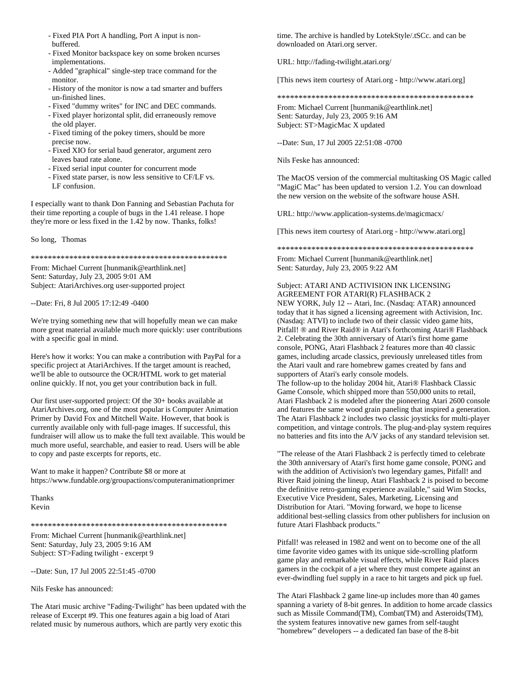- Fixed PIA Port A handling, Port A input is non buffered.
- Fixed Monitor backspace key on some broken ncurses implementations.
- Added "graphical" single-step trace command for the monitor.
- History of the monitor is now a tad smarter and buffers un-finished lines.
- Fixed "dummy writes" for INC and DEC commands.
- Fixed player horizontal split, did erraneously remove the old player.
- Fixed timing of the pokey timers, should be more precise now.
- Fixed XIO for serial baud generator, argument zero leaves baud rate alone.
- Fixed serial input counter for concurrent mode
- Fixed state parser, is now less sensitive to CF/LF vs. LF confusion.

I especially want to thank Don Fanning and Sebastian Pachuta for their time reporting a couple of bugs in the 1.41 release. I hope they're more or less fixed in the 1.42 by now. Thanks, folks!

So long, Thomas

\*\*\*\*\*\*\*\*\*\*\*\*\*\*\*\*\*\*\*\*\*\*\*\*\*\*\*\*\*\*\*\*\*\*\*\*\*\*\*\*\*\*\*\*\*\*

From: Michael Current [hunmanik@earthlink.net] Sent: Saturday, July 23, 2005 9:01 AM Subject: AtariArchives.org user-supported project

--Date: Fri, 8 Jul 2005 17:12:49 -0400

We're trying something new that will hopefully mean we can make more great material available much more quickly: user contributions with a specific goal in mind.

Here's how it works: You can make a contribution with PayPal for a specific project at AtariArchives. If the target amount is reached, we'll be able to outsource the OCR/HTML work to get material online quickly. If not, you get your contribution back in full.

Our first user-supported project: Of the 30+ books available at AtariArchives.org, one of the most popular is Computer Animation Primer by David Fox and Mitchell Waite. However, that book is currently available only with full-page images. If successful, this fundraiser will allow us to make the full text available. This would be much more useful, searchable, and easier to read. Users will be able to copy and paste excerpts for reports, etc.

Want to make it happen? Contribute \$8 or more at https://www.fundable.org/groupactions/computeranimationprimer

Thanks Kevin

\*\*\*\*\*\*\*\*\*\*\*\*\*\*\*\*\*\*\*\*\*\*\*\*\*\*\*\*\*\*\*\*\*\*\*\*\*\*\*\*\*\*\*\*\*\*

From: Michael Current [hunmanik@earthlink.net] Sent: Saturday, July 23, 2005 9:16 AM Subject: ST>Fading twilight - excerpt 9

--Date: Sun, 17 Jul 2005 22:51:45 -0700

Nils Feske has announced:

The Atari music archive "Fading-Twilight" has been updated with the release of Excerpt #9. This one features again a big load of Atari related music by numerous authors, which are partly very exotic this

time. The archive is handled by LotekStyle/.tSCc. and can be downloaded on Atari.org server.

URL: http://fading-twilight.atari.org/

[This news item courtesy of Atari.org - http://www.atari.org]

\*\*\*\*\*\*\*\*\*\*\*\*\*\*\*\*\*\*\*\*\*\*\*\*\*\*\*\*\*\*\*\*\*\*\*\*\*\*\*\*\*\*\*\*\*\*

From: Michael Current [hunmanik@earthlink.net] Sent: Saturday, July 23, 2005 9:16 AM Subject: ST>MagicMac X updated

--Date: Sun, 17 Jul 2005 22:51:08 -0700

Nils Feske has announced:

The MacOS version of the commercial multitasking OS Magic called "MagiC Mac" has been updated to version 1.2. You can download the new version on the website of the software house ASH.

URL: http://www.application-systems.de/magicmacx/

[This news item courtesy of Atari.org - http://www.atari.org]

\*\*\*\*\*\*\*\*\*\*\*\*\*\*\*\*\*\*\*\*\*\*\*\*\*\*\*\*\*\*\*\*\*\*\*\*\*\*\*\*\*\*\*\*\*\*

From: Michael Current [hunmanik@earthlink.net] Sent: Saturday, July 23, 2005 9:22 AM

# Subject: ATARI AND ACTIVISION INK LICENSING AGREEMENT FOR ATARI(R) FLASHBACK 2

NEW YORK, July 12 -- Atari, Inc. (Nasdaq: ATAR) announced today that it has signed a licensing agreement with Activision, Inc. (Nasdaq: ATVI) to include two of their classic video game hits, Pitfall! ® and River Raid® in Atari's forthcoming Atari® Flashback 2. Celebrating the 30th anniversary of Atari's first home game console, PONG, Atari Flashback 2 features more than 40 classic games, including arcade classics, previously unreleased titles from the Atari vault and rare homebrew games created by fans and supporters of Atari's early console models.

The follow-up to the holiday 2004 hit, Atari® Flashback Classic Game Console, which shipped more than 550,000 units to retail, Atari Flashback 2 is modeled after the pioneering Atari 2600 console and features the same wood grain paneling that inspired a generation. The Atari Flashback 2 includes two classic joysticks for multi-player competition, and vintage controls. The plug-and-play system requires no batteries and fits into the A/V jacks of any standard television set.

"The release of the Atari Flashback 2 is perfectly timed to celebrate the 30th anniversary of Atari's first home game console, PONG and with the addition of Activision's two legendary games, Pitfall! and River Raid joining the lineup, Atari Flashback 2 is poised to become the definitive retro-gaming experience available," said Wim Stocks, Executive Vice President, Sales, Marketing, Licensing and Distribution for Atari. "Moving forward, we hope to license additional best-selling classics from other publishers for inclusion on future Atari Flashback products."

Pitfall! was released in 1982 and went on to become one of the all time favorite video games with its unique side-scrolling platform game play and remarkable visual effects, while River Raid places gamers in the cockpit of a jet where they must compete against an ever-dwindling fuel supply in a race to hit targets and pick up fuel.

The Atari Flashback 2 game line-up includes more than 40 games spanning a variety of 8-bit genres. In addition to home arcade classics such as Missile Command(TM), Combat(TM) and Asteroids(TM), the system features innovative new games from self-taught "homebrew" developers -- a dedicated fan base of the 8-bit